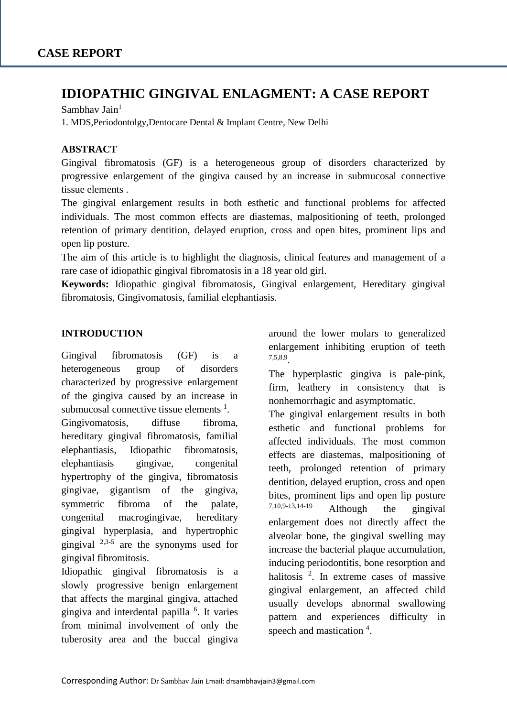# **IDIOPATHIC GINGIVAL ENLAGMENT: A CASE REPORT**

Sambhav Jain $<sup>1</sup>$ </sup>

1. MDS,Periodontolgy,Dentocare Dental & Implant Centre, New Delhi

#### **ABSTRACT**

Gingival fibromatosis (GF) is a heterogeneous group of disorders characterized by progressive enlargement of the gingiva caused by an increase in submucosal connective tissue elements .

The gingival enlargement results in both esthetic and functional problems for affected individuals. The most common effects are diastemas, malpositioning of teeth, prolonged retention of primary dentition, delayed eruption, cross and open bites, prominent lips and open lip posture.

The aim of this article is to highlight the diagnosis, clinical features and management of a rare case of idiopathic gingival fibromatosis in a 18 year old girl.

**Keywords:** Idiopathic gingival fibromatosis, Gingival enlargement, Hereditary gingival fibromatosis, Gingivomatosis, familial elephantiasis.

#### **INTRODUCTION**

Gingival fibromatosis (GF) is a heterogeneous group of disorders characterized by progressive enlargement of the gingiva caused by an increase in submucosal connective tissue elements  $<sup>1</sup>$ .</sup>

Gingivomatosis, diffuse fibroma, hereditary gingival fibromatosis, familial elephantiasis, Idiopathic fibromatosis, elephantiasis gingivae, congenital hypertrophy of the gingiva, fibromatosis gingivae, gigantism of the gingiva, symmetric fibroma of the palate, congenital macrogingivae, hereditary gingival hyperplasia, and hypertrophic gingival  $2,3-5$  are the synonyms used for gingival fibromitosis.

Idiopathic gingival fibromatosis is a slowly progressive benign enlargement that affects the marginal gingiva, attached gingiva and interdental papilla <sup>6</sup> . It varies from minimal involvement of only the tuberosity area and the buccal gingiva

around the lower molars to generalized enlargement inhibiting eruption of teeth 7,5,8,9 .

The hyperplastic gingiva is pale-pink, firm, leathery in consistency that is nonhemorrhagic and asymptomatic.

The gingival enlargement results in both esthetic and functional problems for affected individuals. The most common effects are diastemas, malpositioning of teeth, prolonged retention of primary dentition, delayed eruption, cross and open bites, prominent lips and open lip posture  $7,10,9-13,14-19$  Although the gingival enlargement does not directly affect the alveolar bone, the gingival swelling may increase the bacterial plaque accumulation, inducing periodontitis, bone resorption and halitosis<sup>2</sup>. In extreme cases of massive gingival enlargement, an affected child usually develops abnormal swallowing pattern and experiences difficulty in speech and mastication <sup>4</sup>.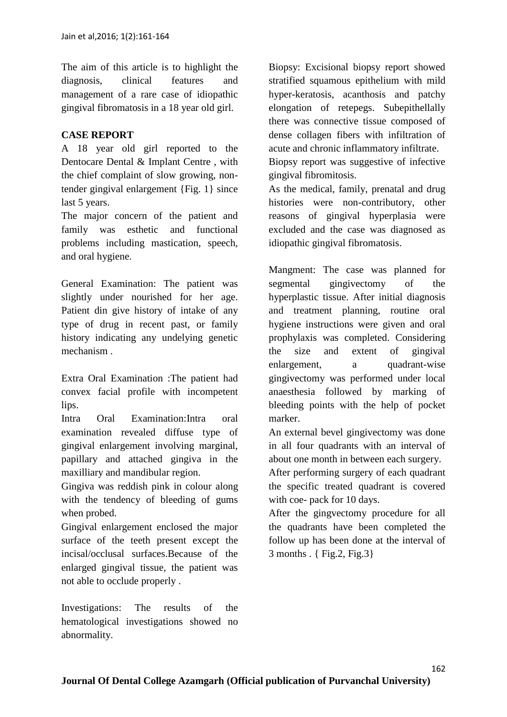The aim of this article is to highlight the diagnosis, clinical features and management of a rare case of idiopathic gingival fibromatosis in a 18 year old girl.

# **CASE REPORT**

A 18 year old girl reported to the Dentocare Dental & Implant Centre , with the chief complaint of slow growing, nontender gingival enlargement {Fig. 1} since last 5 years.

The major concern of the patient and family was esthetic and functional problems including mastication, speech, and oral hygiene.

General Examination: The patient was slightly under nourished for her age. Patient din give history of intake of any type of drug in recent past, or family history indicating any undelying genetic mechanism .

Extra Oral Examination :The patient had convex facial profile with incompetent lips.

Intra Oral Examination:Intra oral examination revealed diffuse type of gingival enlargement involving marginal, papillary and attached gingiva in the maxilliary and mandibular region.

Gingiva was reddish pink in colour along with the tendency of bleeding of gums when probed.

Gingival enlargement enclosed the major surface of the teeth present except the incisal/occlusal surfaces.Because of the enlarged gingival tissue, the patient was not able to occlude properly .

Investigations: The results of the hematological investigations showed no abnormality.

Biopsy: Excisional biopsy report showed stratified squamous epithelium with mild hyper-keratosis, acanthosis and patchy elongation of retepegs. Subepithellally there was connective tissue composed of dense collagen fibers with infiltration of acute and chronic inflammatory infiltrate.

Biopsy report was suggestive of infective gingival fibromitosis.

As the medical, family, prenatal and drug histories were non-contributory, other reasons of gingival hyperplasia were excluded and the case was diagnosed as idiopathic gingival fibromatosis.

Mangment: The case was planned for segmental gingivectomy of the hyperplastic tissue. After initial diagnosis and treatment planning, routine oral hygiene instructions were given and oral prophylaxis was completed. Considering the size and extent of gingival enlargement, a quadrant-wise gingivectomy was performed under local anaesthesia followed by marking of bleeding points with the help of pocket marker.

An external bevel gingivectomy was done in all four quadrants with an interval of about one month in between each surgery.

After performing surgery of each quadrant the specific treated quadrant is covered with coe- pack for 10 days.

After the gingvectomy procedure for all the quadrants have been completed the follow up has been done at the interval of 3 months . { Fig.2, Fig.3}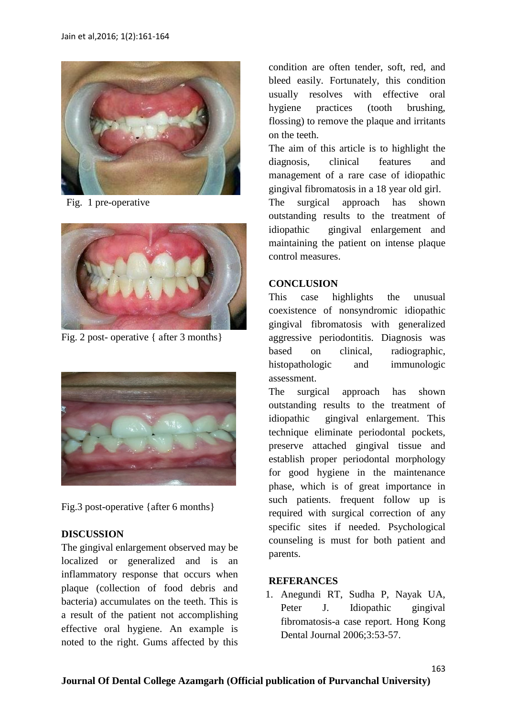

Fig. 1 pre-operative



Fig. 2 post- operative { after 3 months}



Fig.3 post-operative {after 6 months}

# **DISCUSSION**

The gingival enlargement observed may be localized or generalized and is an inflammatory response that occurs when plaque (collection of food debris and bacteria) accumulates on the teeth. This is a result of the patient not accomplishing effective oral hygiene. An example is noted to the right. Gums affected by this

condition are often tender, soft, red, and bleed easily. Fortunately, this condition usually resolves with effective oral hygiene practices (tooth brushing, flossing) to remove the plaque and irritants on the teeth.

The aim of this article is to highlight the diagnosis, clinical features and management of a rare case of idiopathic gingival fibromatosis in a 18 year old girl.

The surgical approach has shown outstanding results to the treatment of idiopathic gingival enlargement and maintaining the patient on intense plaque control measures.

#### **CONCLUSION**

This case highlights the unusual coexistence of nonsyndromic idiopathic gingival fibromatosis with generalized aggressive periodontitis. Diagnosis was based on clinical, radiographic, histopathologic and immunologic assessment.

The surgical approach has shown outstanding results to the treatment of idiopathic gingival enlargement. This technique eliminate periodontal pockets, preserve attached gingival tissue and establish proper periodontal morphology for good hygiene in the maintenance phase, which is of great importance in such patients. frequent follow up is required with surgical correction of any specific sites if needed. Psychological counseling is must for both patient and parents.

# **REFERANCES**

1. Anegundi RT, Sudha P, Nayak UA, Peter J. Idiopathic gingival fibromatosis-a case report. Hong Kong Dental Journal 2006;3:53-57.